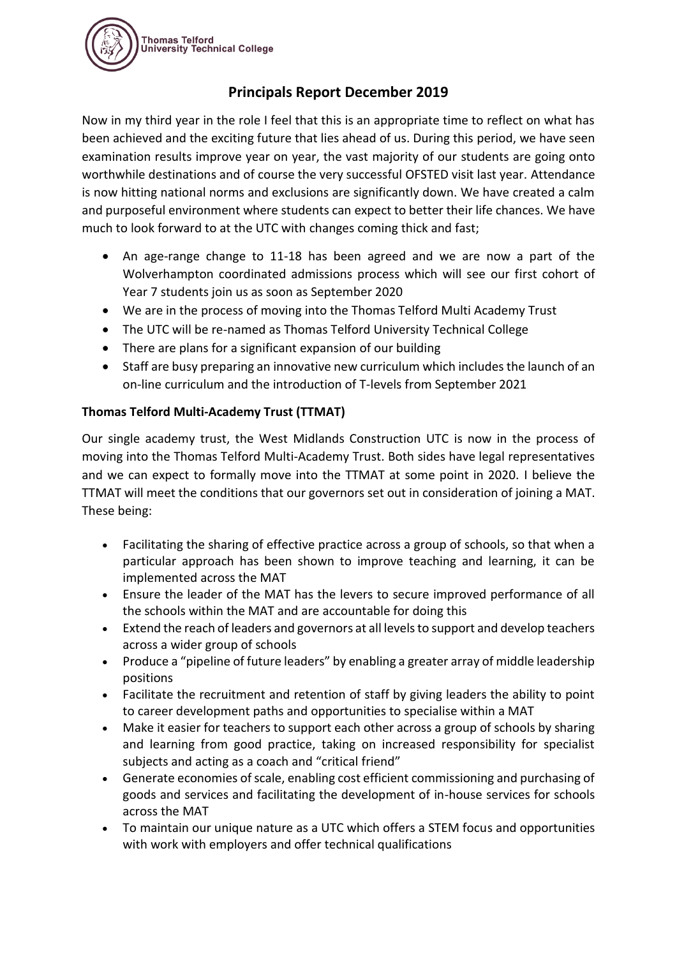

# **Principals Report December 2019**

Now in my third year in the role I feel that this is an appropriate time to reflect on what has been achieved and the exciting future that lies ahead of us. During this period, we have seen examination results improve year on year, the vast majority of our students are going onto worthwhile destinations and of course the very successful OFSTED visit last year. Attendance is now hitting national norms and exclusions are significantly down. We have created a calm and purposeful environment where students can expect to better their life chances. We have much to look forward to at the UTC with changes coming thick and fast;

- An age-range change to 11-18 has been agreed and we are now a part of the Wolverhampton coordinated admissions process which will see our first cohort of Year 7 students join us as soon as September 2020
- We are in the process of moving into the Thomas Telford Multi Academy Trust
- The UTC will be re-named as Thomas Telford University Technical College
- There are plans for a significant expansion of our building
- Staff are busy preparing an innovative new curriculum which includes the launch of an on-line curriculum and the introduction of T-levels from September 2021

# **Thomas Telford Multi-Academy Trust (TTMAT)**

Our single academy trust, the West Midlands Construction UTC is now in the process of moving into the Thomas Telford Multi-Academy Trust. Both sides have legal representatives and we can expect to formally move into the TTMAT at some point in 2020. I believe the TTMAT will meet the conditions that our governors set out in consideration of joining a MAT. These being:

- Facilitating the sharing of effective practice across a group of schools, so that when a particular approach has been shown to improve teaching and learning, it can be implemented across the MAT
- Ensure the leader of the MAT has the levers to secure improved performance of all the schools within the MAT and are accountable for doing this
- Extend the reach of leaders and governors at all levels to support and develop teachers across a wider group of schools
- Produce a "pipeline of future leaders" by enabling a greater array of middle leadership positions
- Facilitate the recruitment and retention of staff by giving leaders the ability to point to career development paths and opportunities to specialise within a MAT
- Make it easier for teachers to support each other across a group of schools by sharing and learning from good practice, taking on increased responsibility for specialist subjects and acting as a coach and "critical friend"
- Generate economies of scale, enabling cost efficient commissioning and purchasing of goods and services and facilitating the development of in-house services for schools across the MAT
- To maintain our unique nature as a UTC which offers a STEM focus and opportunities with work with employers and offer technical qualifications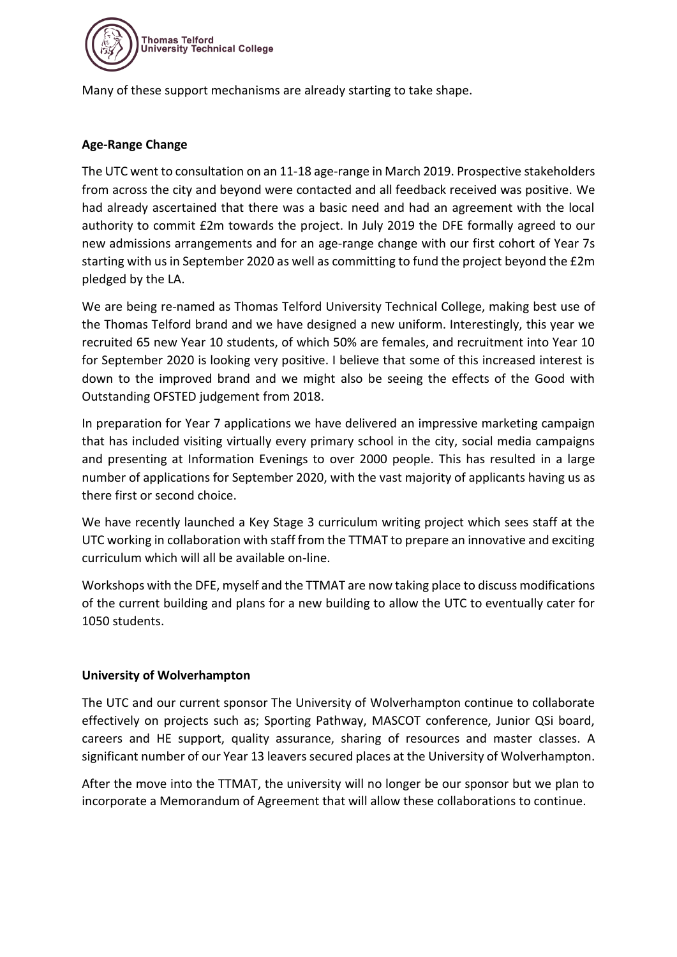

Many of these support mechanisms are already starting to take shape.

# **Age-Range Change**

The UTC went to consultation on an 11-18 age-range in March 2019. Prospective stakeholders from across the city and beyond were contacted and all feedback received was positive. We had already ascertained that there was a basic need and had an agreement with the local authority to commit £2m towards the project. In July 2019 the DFE formally agreed to our new admissions arrangements and for an age-range change with our first cohort of Year 7s starting with us in September 2020 as well as committing to fund the project beyond the £2m pledged by the LA.

We are being re-named as Thomas Telford University Technical College, making best use of the Thomas Telford brand and we have designed a new uniform. Interestingly, this year we recruited 65 new Year 10 students, of which 50% are females, and recruitment into Year 10 for September 2020 is looking very positive. I believe that some of this increased interest is down to the improved brand and we might also be seeing the effects of the Good with Outstanding OFSTED judgement from 2018.

In preparation for Year 7 applications we have delivered an impressive marketing campaign that has included visiting virtually every primary school in the city, social media campaigns and presenting at Information Evenings to over 2000 people. This has resulted in a large number of applications for September 2020, with the vast majority of applicants having us as there first or second choice.

We have recently launched a Key Stage 3 curriculum writing project which sees staff at the UTC working in collaboration with staff from the TTMAT to prepare an innovative and exciting curriculum which will all be available on-line.

Workshops with the DFE, myself and the TTMAT are now taking place to discuss modifications of the current building and plans for a new building to allow the UTC to eventually cater for 1050 students.

# **University of Wolverhampton**

The UTC and our current sponsor The University of Wolverhampton continue to collaborate effectively on projects such as; Sporting Pathway, MASCOT conference, Junior QSi board, careers and HE support, quality assurance, sharing of resources and master classes. A significant number of our Year 13 leavers secured places at the University of Wolverhampton.

After the move into the TTMAT, the university will no longer be our sponsor but we plan to incorporate a Memorandum of Agreement that will allow these collaborations to continue.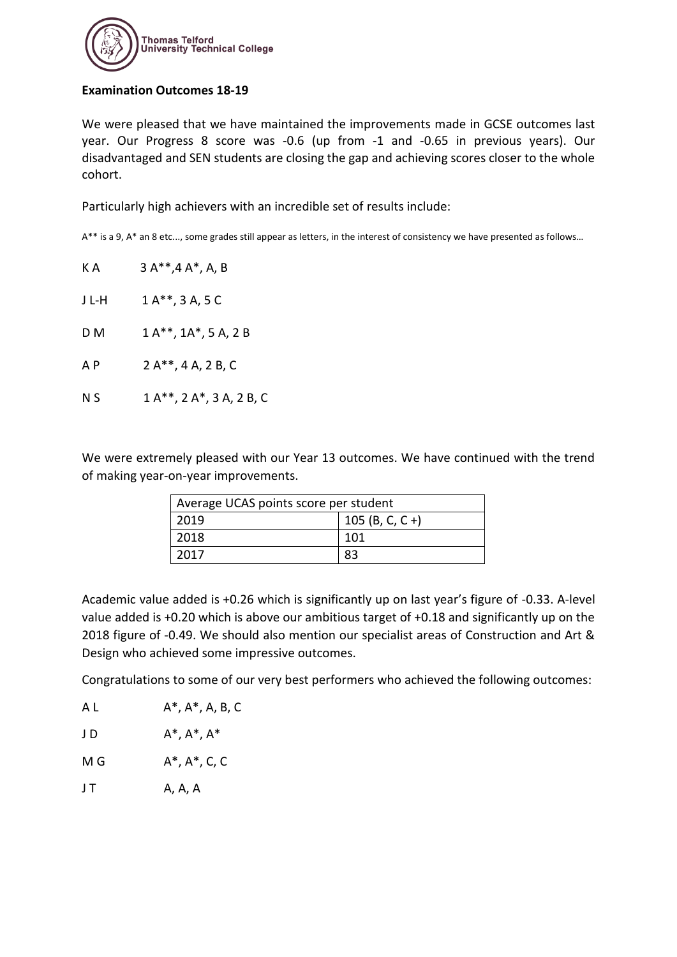

#### **Examination Outcomes 18-19**

We were pleased that we have maintained the improvements made in GCSE outcomes last year. Our Progress 8 score was -0.6 (up from -1 and -0.65 in previous years). Our disadvantaged and SEN students are closing the gap and achieving scores closer to the whole cohort.

Particularly high achievers with an incredible set of results include:

A\*\* is a 9, A\* an 8 etc..., some grades still appear as letters, in the interest of consistency we have presented as follows…

| КA    | $3A^{**}, 4A^*, A, B$         |
|-------|-------------------------------|
| J L-H | $1A^{**}$ , 3 A, 5 C          |
| D M   | $1A^{**}$ , $1A^*$ , 5 A, 2 B |
| A P   | 2 A**, 4 A, 2 B, C            |
| N S   | 1 A**, 2 A*, 3 A, 2 B, C      |
|       |                               |

We were extremely pleased with our Year 13 outcomes. We have continued with the trend of making year-on-year improvements.

| Average UCAS points score per student |                 |  |
|---------------------------------------|-----------------|--|
| 2019                                  | 105 (B, C, C +) |  |
| 2018                                  | 101             |  |
| 2017                                  | 83              |  |

Academic value added is +0.26 which is significantly up on last year's figure of -0.33. A-level value added is +0.20 which is above our ambitious target of +0.18 and significantly up on the 2018 figure of -0.49. We should also mention our specialist areas of Construction and Art & Design who achieved some impressive outcomes.

Congratulations to some of our very best performers who achieved the following outcomes:

| J D | $A^*$ , $A^*$ , $A^*$ |
|-----|-----------------------|
|     |                       |

 $M G$   $A^*$ ,  $A^*$ ,  $C$ ,  $C$ 

 $J$  T  $A$ ,  $A$ ,  $A$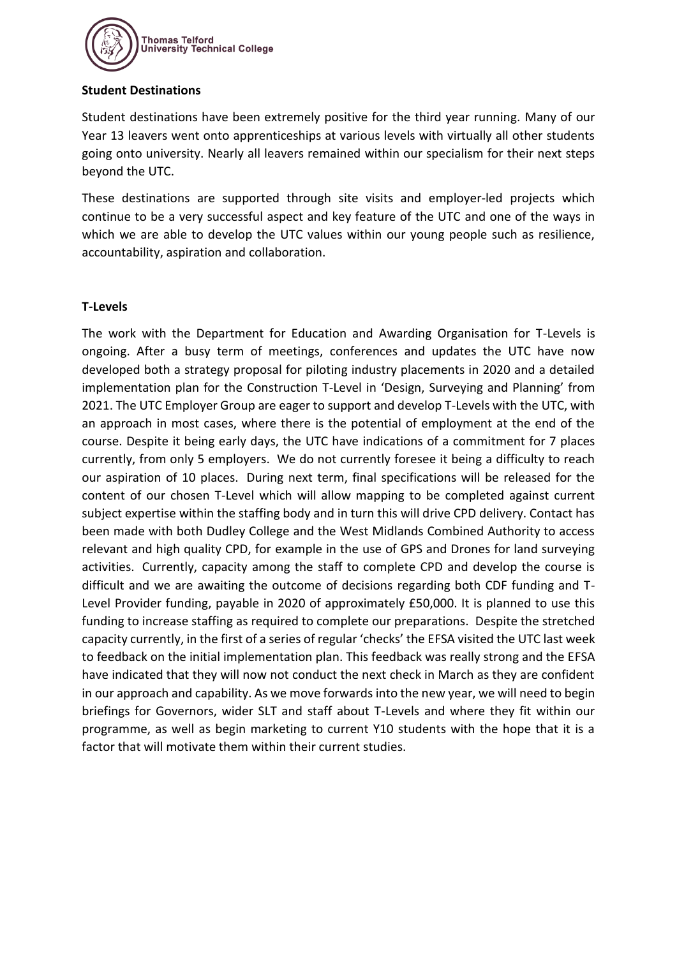

#### **Student Destinations**

Student destinations have been extremely positive for the third year running. Many of our Year 13 leavers went onto apprenticeships at various levels with virtually all other students going onto university. Nearly all leavers remained within our specialism for their next steps beyond the UTC.

These destinations are supported through site visits and employer-led projects which continue to be a very successful aspect and key feature of the UTC and one of the ways in which we are able to develop the UTC values within our young people such as resilience, accountability, aspiration and collaboration.

# **T-Levels**

The work with the Department for Education and Awarding Organisation for T-Levels is ongoing. After a busy term of meetings, conferences and updates the UTC have now developed both a strategy proposal for piloting industry placements in 2020 and a detailed implementation plan for the Construction T-Level in 'Design, Surveying and Planning' from 2021. The UTC Employer Group are eager to support and develop T-Levels with the UTC, with an approach in most cases, where there is the potential of employment at the end of the course. Despite it being early days, the UTC have indications of a commitment for 7 places currently, from only 5 employers. We do not currently foresee it being a difficulty to reach our aspiration of 10 places. During next term, final specifications will be released for the content of our chosen T-Level which will allow mapping to be completed against current subject expertise within the staffing body and in turn this will drive CPD delivery. Contact has been made with both Dudley College and the West Midlands Combined Authority to access relevant and high quality CPD, for example in the use of GPS and Drones for land surveying activities. Currently, capacity among the staff to complete CPD and develop the course is difficult and we are awaiting the outcome of decisions regarding both CDF funding and T-Level Provider funding, payable in 2020 of approximately £50,000. It is planned to use this funding to increase staffing as required to complete our preparations. Despite the stretched capacity currently, in the first of a series of regular 'checks' the EFSA visited the UTC last week to feedback on the initial implementation plan. This feedback was really strong and the EFSA have indicated that they will now not conduct the next check in March as they are confident in our approach and capability. As we move forwards into the new year, we will need to begin briefings for Governors, wider SLT and staff about T-Levels and where they fit within our programme, as well as begin marketing to current Y10 students with the hope that it is a factor that will motivate them within their current studies.